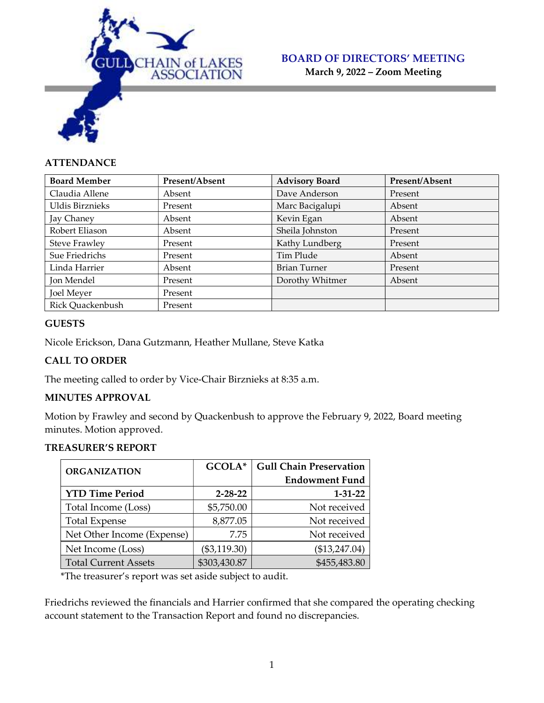

March 9, 2022 – Zoom Meeting

# **ATTENDANCE**

| <b>Board Member</b>  | Present/Absent | <b>Advisory Board</b> | Present/Absent |
|----------------------|----------------|-----------------------|----------------|
| Claudia Allene       | Absent         | Dave Anderson         | Present        |
| Uldis Birznieks      | Present        | Marc Bacigalupi       | Absent         |
| Jay Chaney           | Absent         | Kevin Egan            | Absent         |
| Robert Eliason       | Absent         | Sheila Johnston       | Present        |
| <b>Steve Frawley</b> | Present        | Kathy Lundberg        | Present        |
| Sue Friedrichs       | Present        | Tim Plude             | Absent         |
| Linda Harrier        | Absent         | <b>Brian Turner</b>   | Present        |
| Jon Mendel           | Present        | Dorothy Whitmer       | Absent         |
| Joel Meyer           | Present        |                       |                |
| Rick Quackenbush     | Present        |                       |                |

### **GUESTS**

Nicole Erickson, Dana Gutzmann, Heather Mullane, Steve Katka

### CALL TO ORDER

The meeting called to order by Vice-Chair Birznieks at 8:35 a.m.

## MINUTES APPROVAL

Motion by Frawley and second by Quackenbush to approve the February 9, 2022, Board meeting minutes. Motion approved.

#### TREASURER'S REPORT

| <b>ORGANIZATION</b>         | GCOLA*         | <b>Gull Chain Preservation</b> |
|-----------------------------|----------------|--------------------------------|
|                             |                | <b>Endowment Fund</b>          |
| <b>YTD Time Period</b>      | $2 - 28 - 22$  | $1 - 31 - 22$                  |
| Total Income (Loss)         | \$5,750.00     | Not received                   |
| <b>Total Expense</b>        | 8,877.05       | Not received                   |
| Net Other Income (Expense)  | 7.75           | Not received                   |
| Net Income (Loss)           | $(\$3,119.30)$ | (\$13,247.04)                  |
| <b>Total Current Assets</b> | \$303,430.87   | \$455,483.80                   |

\*The treasurer's report was set aside subject to audit.

Friedrichs reviewed the financials and Harrier confirmed that she compared the operating checking account statement to the Transaction Report and found no discrepancies.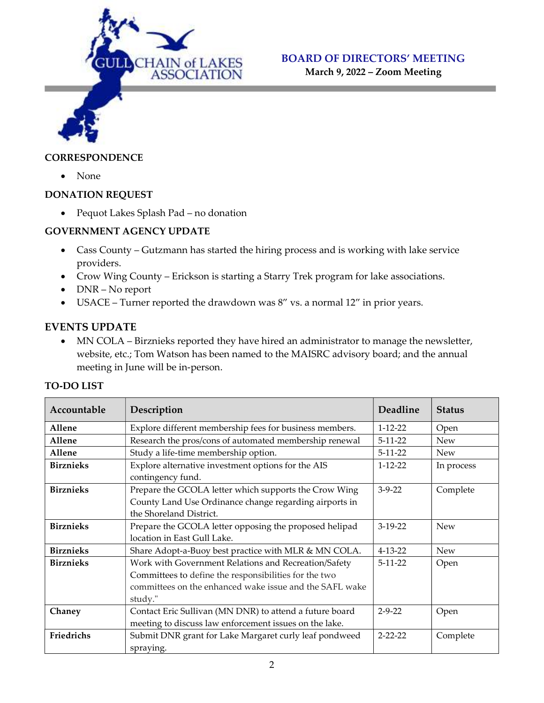

March 9, 2022 – Zoom Meeting

#### **CORRESPONDENCE**

• None

### DONATION REQUEST

Pequot Lakes Splash Pad – no donation

## GOVERNMENT AGENCY UPDATE

- Cass County Gutzmann has started the hiring process and is working with lake service providers.
- Crow Wing County Erickson is starting a Starry Trek program for lake associations.
- DNR No report
- USACE Turner reported the drawdown was 8" vs. a normal 12" in prior years.

# EVENTS UPDATE

• MN COLA – Birznieks reported they have hired an administrator to manage the newsletter, website, etc.; Tom Watson has been named to the MAISRC advisory board; and the annual meeting in June will be in-person.

### TO-DO LIST

| Accountable      | Description                                                                                                                                                                         | Deadline      | <b>Status</b> |
|------------------|-------------------------------------------------------------------------------------------------------------------------------------------------------------------------------------|---------------|---------------|
| Allene           | Explore different membership fees for business members.                                                                                                                             | $1 - 12 - 22$ | Open          |
| Allene           | Research the pros/cons of automated membership renewal                                                                                                                              | $5-11-22$     | <b>New</b>    |
| Allene           | Study a life-time membership option.                                                                                                                                                | $5 - 11 - 22$ | <b>New</b>    |
| <b>Birznieks</b> | Explore alternative investment options for the AIS<br>contingency fund.                                                                                                             | $1 - 12 - 22$ | In process    |
| <b>Birznieks</b> | Prepare the GCOLA letter which supports the Crow Wing<br>County Land Use Ordinance change regarding airports in<br>the Shoreland District.                                          | $3-9-22$      | Complete      |
| <b>Birznieks</b> | Prepare the GCOLA letter opposing the proposed helipad<br>location in East Gull Lake.                                                                                               | $3-19-22$     | <b>New</b>    |
| <b>Birznieks</b> | Share Adopt-a-Buoy best practice with MLR & MN COLA.                                                                                                                                | $4 - 13 - 22$ | <b>New</b>    |
| <b>Birznieks</b> | Work with Government Relations and Recreation/Safety<br>Committees to define the responsibilities for the two<br>committees on the enhanced wake issue and the SAFL wake<br>study." | $5-11-22$     | Open          |
| Chaney           | Contact Eric Sullivan (MN DNR) to attend a future board<br>meeting to discuss law enforcement issues on the lake.                                                                   | $2 - 9 - 22$  | Open          |
| Friedrichs       | Submit DNR grant for Lake Margaret curly leaf pondweed<br>spraying.                                                                                                                 | $2 - 22 - 22$ | Complete      |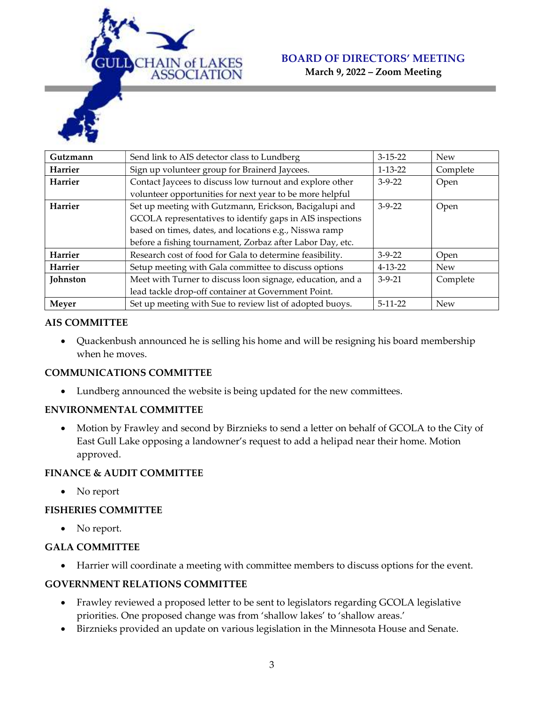

March 9, 2022 – Zoom Meeting



### AIS COMMITTEE

 Quackenbush announced he is selling his home and will be resigning his board membership when he moves.

### COMMUNICATIONS COMMITTEE

Lundberg announced the website is being updated for the new committees.

### ENVIRONMENTAL COMMITTEE

 Motion by Frawley and second by Birznieks to send a letter on behalf of GCOLA to the City of East Gull Lake opposing a landowner's request to add a helipad near their home. Motion approved.

### FINANCE & AUDIT COMMITTEE

• No report

### FISHERIES COMMITTEE

• No report.

### GALA COMMITTEE

Harrier will coordinate a meeting with committee members to discuss options for the event.

### GOVERNMENT RELATIONS COMMITTEE

- Frawley reviewed a proposed letter to be sent to legislators regarding GCOLA legislative priorities. One proposed change was from 'shallow lakes' to 'shallow areas.'
- Birznieks provided an update on various legislation in the Minnesota House and Senate.